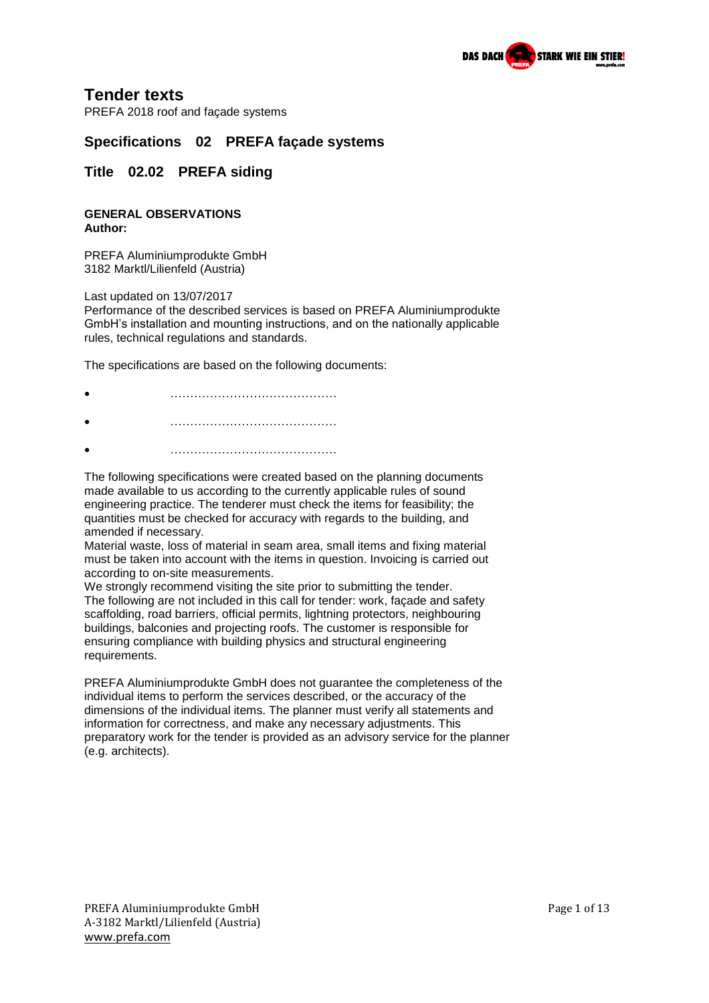

# **Tender texts**

PREFA 2018 roof and façade systems

## **Specifications 02 PREFA façade systems**

## **Title 02.02 PREFA siding**

#### **GENERAL OBSERVATIONS Author:**

PREFA Aluminiumprodukte GmbH 3182 Marktl/Lilienfeld (Austria)

Last updated on 13/07/2017

Performance of the described services is based on PREFA Aluminiumprodukte GmbH's installation and mounting instructions, and on the nationally applicable rules, technical regulations and standards.

The specifications are based on the following documents:

……………………………………

……………………………………

……………………………………

The following specifications were created based on the planning documents made available to us according to the currently applicable rules of sound engineering practice. The tenderer must check the items for feasibility; the quantities must be checked for accuracy with regards to the building, and amended if necessary.

Material waste, loss of material in seam area, small items and fixing material must be taken into account with the items in question. Invoicing is carried out according to on-site measurements.

We strongly recommend visiting the site prior to submitting the tender. The following are not included in this call for tender: work, façade and safety scaffolding, road barriers, official permits, lightning protectors, neighbouring buildings, balconies and projecting roofs. The customer is responsible for ensuring compliance with building physics and structural engineering requirements.

PREFA Aluminiumprodukte GmbH does not guarantee the completeness of the individual items to perform the services described, or the accuracy of the dimensions of the individual items. The planner must verify all statements and information for correctness, and make any necessary adjustments. This preparatory work for the tender is provided as an advisory service for the planner (e.g. architects).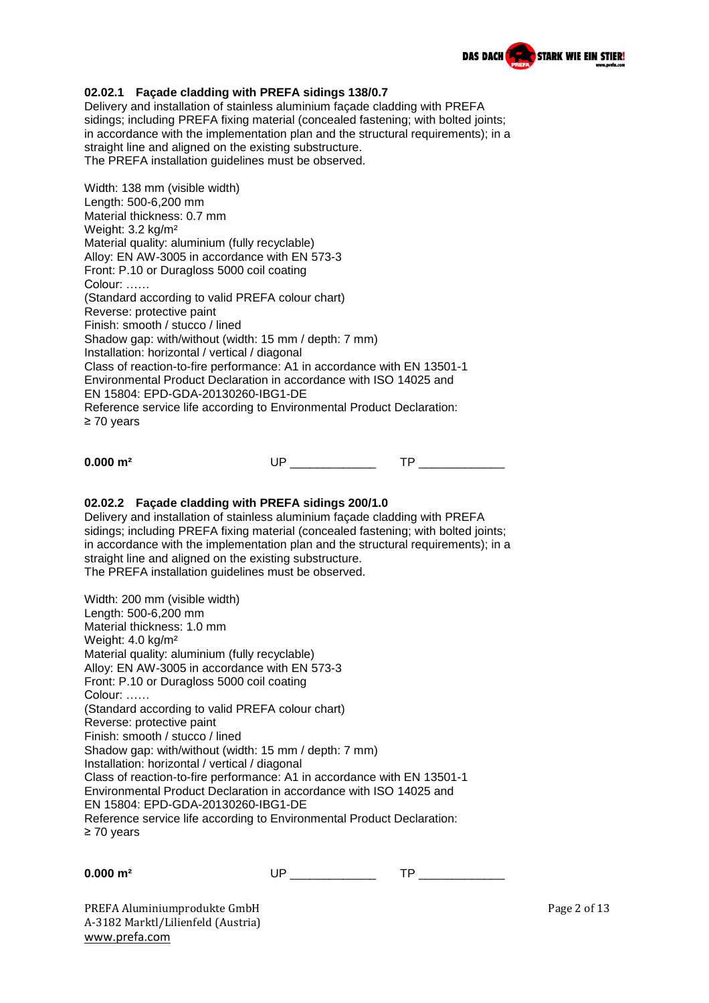

## **02.02.1 Façade cladding with PREFA sidings 138/0.7**

Delivery and installation of stainless aluminium façade cladding with PREFA sidings; including PREFA fixing material (concealed fastening; with bolted joints; in accordance with the implementation plan and the structural requirements); in a straight line and aligned on the existing substructure. The PREFA installation guidelines must be observed.

Width: 138 mm (visible width) Length: 500-6,200 mm Material thickness: 0.7 mm Weight: 3.2 kg/m² Material quality: aluminium (fully recyclable) Alloy: EN AW-3005 in accordance with EN 573-3 Front: P.10 or Duragloss 5000 coil coating Colour: …… (Standard according to valid PREFA colour chart) Reverse: protective paint Finish: smooth / stucco / lined Shadow gap: with/without (width: 15 mm / depth: 7 mm) Installation: horizontal / vertical / diagonal Class of reaction-to-fire performance: A1 in accordance with EN 13501-1 Environmental Product Declaration in accordance with ISO 14025 and EN 15804: EPD-GDA-20130260-IBG1-DE Reference service life according to Environmental Product Declaration: ≥ 70 years

**0.000 m²** UP \_\_\_\_\_\_\_\_\_\_\_\_\_ TP \_\_\_\_\_\_\_\_\_\_\_\_\_

#### **02.02.2 Façade cladding with PREFA sidings 200/1.0**

Delivery and installation of stainless aluminium façade cladding with PREFA sidings; including PREFA fixing material (concealed fastening; with bolted joints; in accordance with the implementation plan and the structural requirements); in a straight line and aligned on the existing substructure. The PREFA installation guidelines must be observed.

| Width: 200 mm (visible width)                                           |
|-------------------------------------------------------------------------|
| Length: 500-6,200 mm                                                    |
| Material thickness: 1.0 mm                                              |
| Weight: 4.0 kg/m <sup>2</sup>                                           |
| Material quality: aluminium (fully recyclable)                          |
| Alloy: EN AW-3005 in accordance with EN 573-3                           |
| Front: P.10 or Duragloss 5000 coil coating                              |
| Colour: ……                                                              |
| (Standard according to valid PREFA colour chart)                        |
| Reverse: protective paint                                               |
| Finish: smooth / stucco / lined                                         |
| Shadow gap: with/without (width: 15 mm / depth: 7 mm)                   |
| Installation: horizontal / vertical / diagonal                          |
| Class of reaction-to-fire performance: A1 in accordance with EN 13501-1 |
| Environmental Product Declaration in accordance with ISO 14025 and      |
| EN 15804: EPD-GDA-20130260-IBG1-DE                                      |
| Reference service life according to Environmental Product Declaration:  |
| ≥ 70 years                                                              |

| $0.000 \; \mathrm{m}^2$ |  |
|-------------------------|--|
|-------------------------|--|

**0.000 m²** UP \_\_\_\_\_\_\_\_\_\_\_\_\_ TP \_\_\_\_\_\_\_\_\_\_\_\_\_

PREFA Aluminiumprodukte GmbH **Page 2 of 13** Page 2 of 13 A-3182 Marktl/Lilienfeld (Austria) [www.prefa.com](http://www.prefa.com/)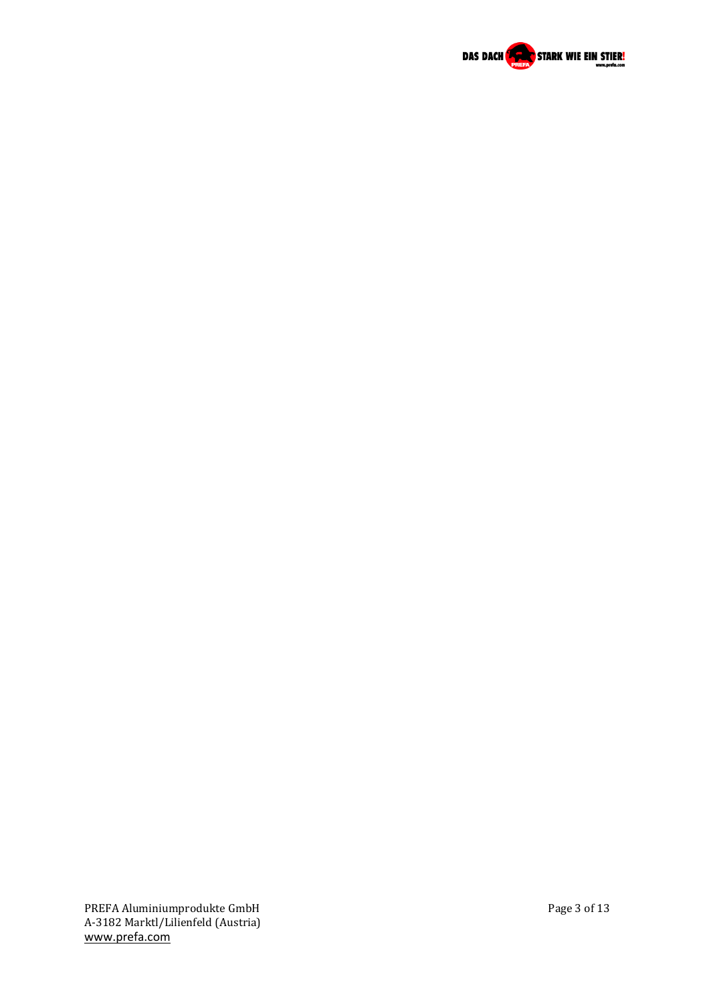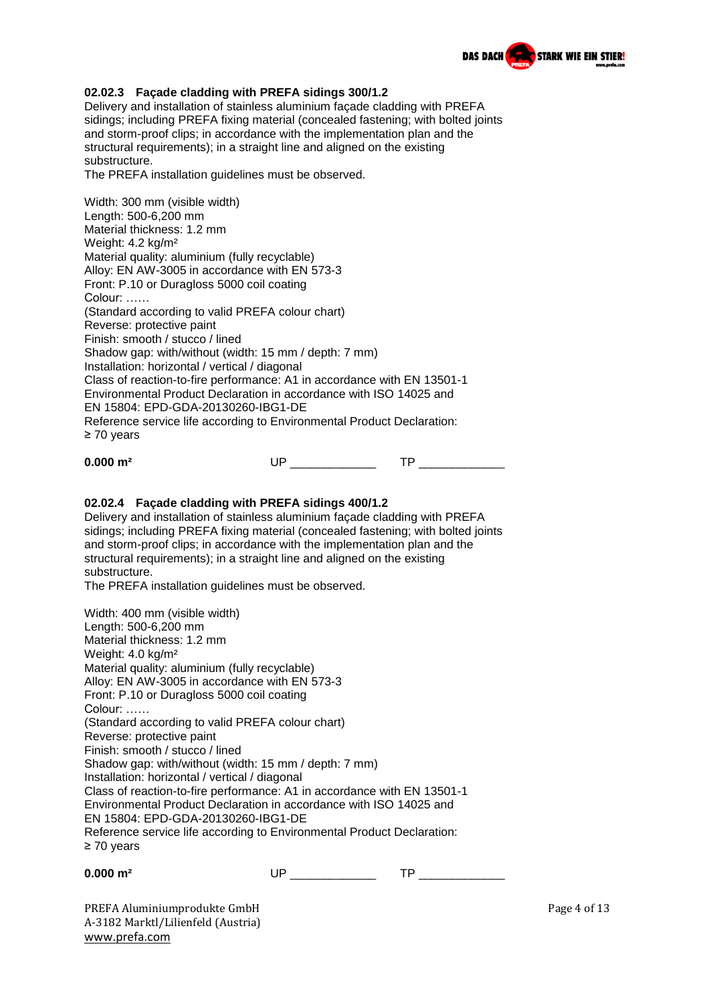

## **02.02.3 Façade cladding with PREFA sidings 300/1.2**

Delivery and installation of stainless aluminium façade cladding with PREFA sidings; including PREFA fixing material (concealed fastening; with bolted joints and storm-proof clips; in accordance with the implementation plan and the structural requirements); in a straight line and aligned on the existing substructure.

The PREFA installation guidelines must be observed.

**0.000 m²** UP \_\_\_\_\_\_\_\_\_\_\_\_\_ TP \_\_\_\_\_\_\_\_\_\_\_\_\_

#### **02.02.4 Façade cladding with PREFA sidings 400/1.2**

Delivery and installation of stainless aluminium façade cladding with PREFA sidings; including PREFA fixing material (concealed fastening; with bolted joints and storm-proof clips; in accordance with the implementation plan and the structural requirements); in a straight line and aligned on the existing substructure.

The PREFA installation guidelines must be observed.

**0.000 m²** UP \_\_\_\_\_\_\_\_\_\_\_\_\_ TP \_\_\_\_\_\_\_\_\_\_\_\_\_

PREFA Aluminiumprodukte GmbH **Page 4 of 13** Page 4 of 13 A-3182 Marktl/Lilienfeld (Austria) [www.prefa.com](http://www.prefa.com/)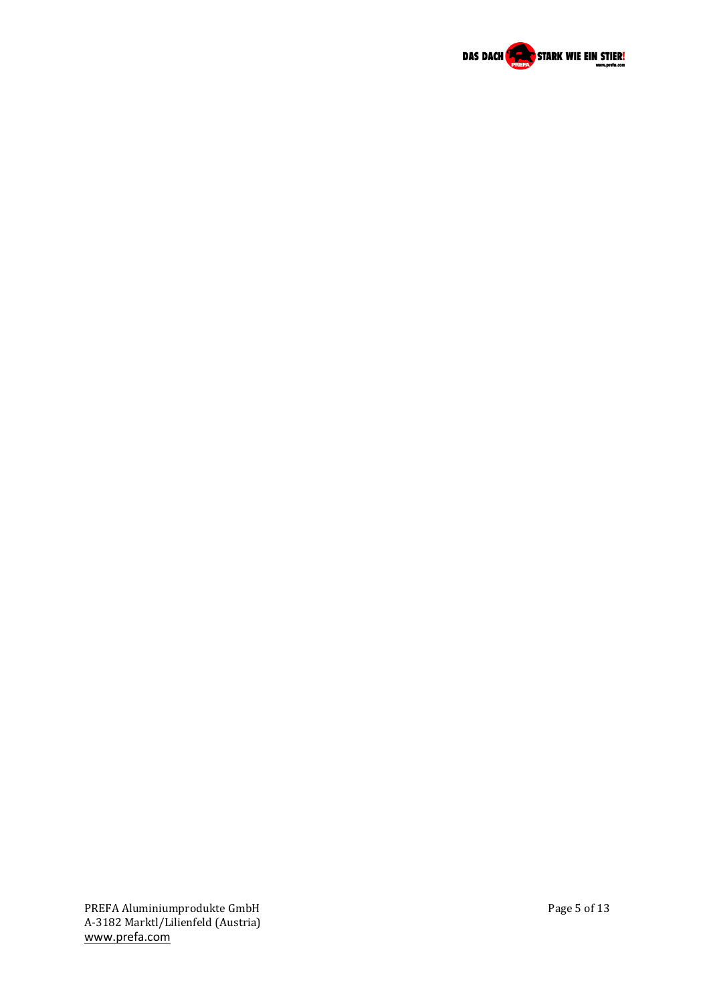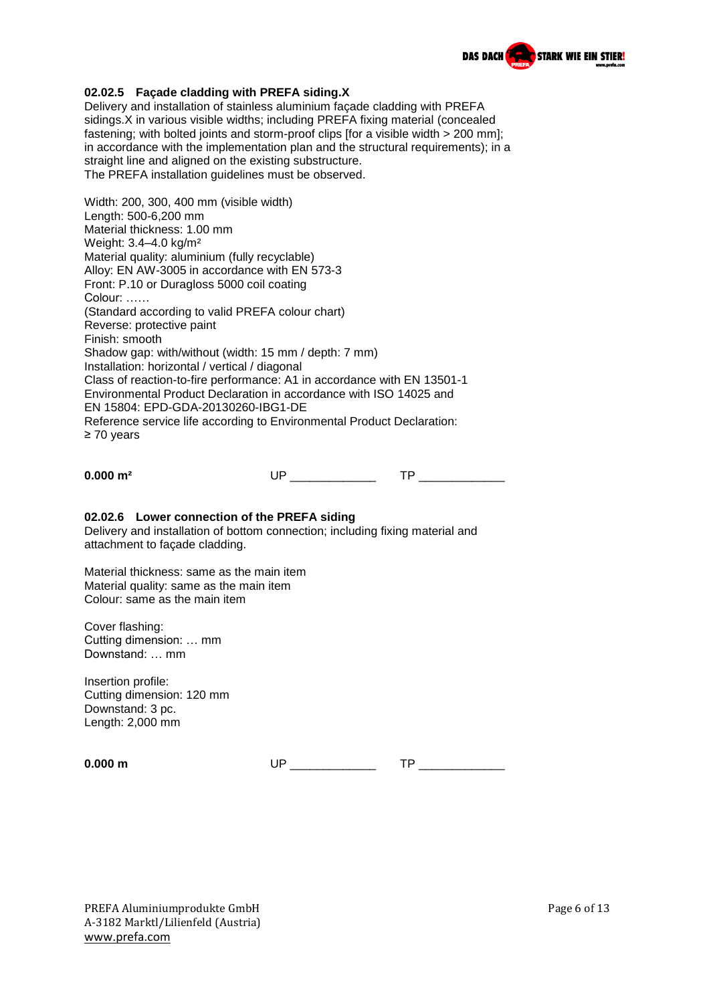

## **02.02.5 Façade cladding with PREFA siding.X**

Delivery and installation of stainless aluminium façade cladding with PREFA sidings.X in various visible widths; including PREFA fixing material (concealed fastening; with bolted joints and storm-proof clips [for a visible width > 200 mm]; in accordance with the implementation plan and the structural requirements); in a straight line and aligned on the existing substructure. The PREFA installation guidelines must be observed.

Width: 200, 300, 400 mm (visible width) Length: 500-6,200 mm Material thickness: 1.00 mm Weight: 3.4–4.0 kg/m² Material quality: aluminium (fully recyclable) Alloy: EN AW-3005 in accordance with EN 573-3 Front: P.10 or Duragloss 5000 coil coating Colour: …… (Standard according to valid PREFA colour chart) Reverse: protective paint Finish: smooth Shadow gap: with/without (width: 15 mm / depth: 7 mm) Installation: horizontal / vertical / diagonal Class of reaction-to-fire performance: A1 in accordance with EN 13501-1 Environmental Product Declaration in accordance with ISO 14025 and EN 15804: EPD-GDA-20130260-IBG1-DE Reference service life according to Environmental Product Declaration: ≥ 70 years

**0.000 m²** UP \_\_\_\_\_\_\_\_\_\_\_\_\_ TP \_\_\_\_\_\_\_\_\_\_\_\_\_

#### **02.02.6 Lower connection of the PREFA siding**

Delivery and installation of bottom connection; including fixing material and attachment to façade cladding.

Material thickness: same as the main item Material quality: same as the main item Colour: same as the main item

Cover flashing: Cutting dimension: … mm Downstand: … mm

Insertion profile: Cutting dimension: 120 mm Downstand: 3 pc. Length: 2,000 mm

**0.000 m** UP \_\_\_\_\_\_\_\_\_\_\_\_\_\_\_\_ TP \_\_\_\_\_\_\_\_\_\_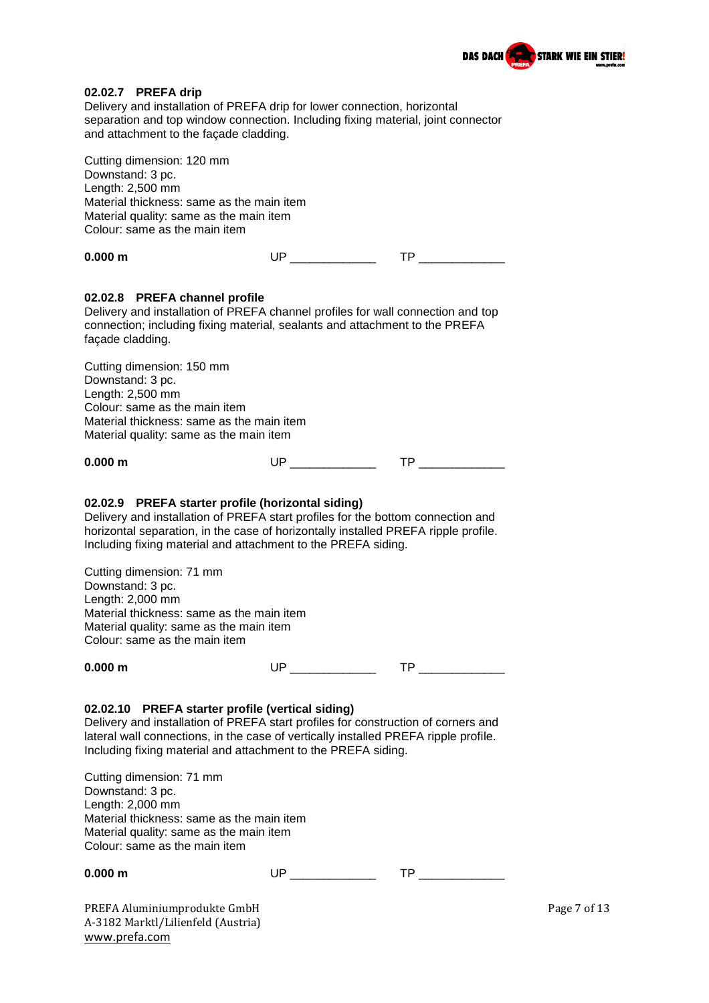

## **02.02.7 PREFA drip**

Delivery and installation of PREFA drip for lower connection, horizontal separation and top window connection. Including fixing material, joint connector and attachment to the façade cladding.

| Cutting dimension: 120 mm<br>Downstand: 3 pc.<br>Length: 2,500 mm<br>Material thickness: same as the main item<br>Material quality: same as the main item<br>Colour: same as the main item                                                                                                                                                                                                                                          |                                        |              |
|-------------------------------------------------------------------------------------------------------------------------------------------------------------------------------------------------------------------------------------------------------------------------------------------------------------------------------------------------------------------------------------------------------------------------------------|----------------------------------------|--------------|
| 0.000 m                                                                                                                                                                                                                                                                                                                                                                                                                             |                                        |              |
| 02.02.8 PREFA channel profile<br>Delivery and installation of PREFA channel profiles for wall connection and top<br>connection; including fixing material, sealants and attachment to the PREFA<br>façade cladding.                                                                                                                                                                                                                 |                                        |              |
| Cutting dimension: 150 mm<br>Downstand: 3 pc.<br>Length: 2,500 mm<br>Colour: same as the main item<br>Material thickness: same as the main item<br>Material quality: same as the main item                                                                                                                                                                                                                                          |                                        |              |
| 0.000 m                                                                                                                                                                                                                                                                                                                                                                                                                             | UP ________________  TP ______________ |              |
| Delivery and installation of PREFA start profiles for the bottom connection and<br>horizontal separation, in the case of horizontally installed PREFA ripple profile.<br>Including fixing material and attachment to the PREFA siding.<br>Cutting dimension: 71 mm<br>Downstand: 3 pc.<br>Length: 2,000 mm<br>Material thickness: same as the main item<br>Material quality: same as the main item<br>Colour: same as the main item |                                        |              |
| $0.000 \;{\rm m}$                                                                                                                                                                                                                                                                                                                                                                                                                   |                                        |              |
| 02.02.10 PREFA starter profile (vertical siding)<br>Delivery and installation of PREFA start profiles for construction of corners and<br>lateral wall connections, in the case of vertically installed PREFA ripple profile.<br>Including fixing material and attachment to the PREFA siding.<br>Cutting dimension: 71 mm<br>Downstand: 3 pc.<br>Length: 2,000 mm                                                                   |                                        |              |
| Material thickness: same as the main item<br>Material quality: same as the main item<br>Colour: same as the main item                                                                                                                                                                                                                                                                                                               |                                        |              |
| 0.000 m                                                                                                                                                                                                                                                                                                                                                                                                                             | UP ________________  TP ______________ |              |
| PREFA Aluminiumprodukte GmbH                                                                                                                                                                                                                                                                                                                                                                                                        |                                        | Page 7 of 13 |

A-3182 Marktl/Lilienfeld (Austria) [www.prefa.com](http://www.prefa.com/)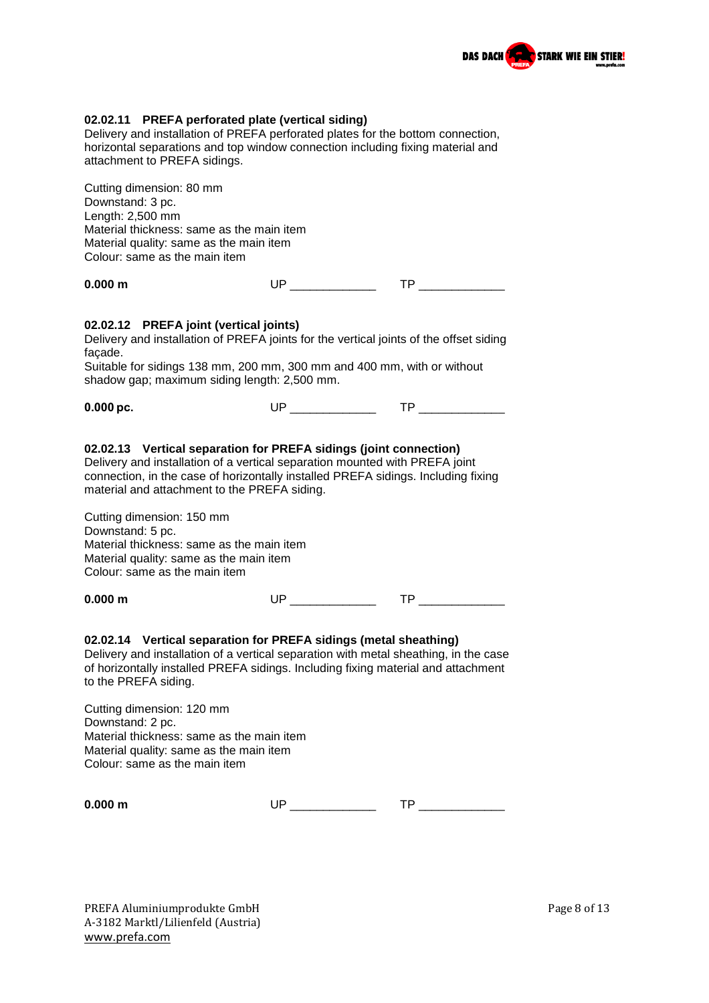## **02.02.11 PREFA perforated plate (vertical siding)**

Delivery and installation of PREFA perforated plates for the bottom connection, horizontal separations and top window connection including fixing material and attachment to PREFA sidings.

| Cutting dimension: 80 mm<br>Downstand: 3 pc.<br>Length: 2,500 mm<br>Material thickness: same as the main item<br>Material quality: same as the main item<br>Colour: same as the main item                                                                                                                                                                                  |                                                                                                                                                                           |  |
|----------------------------------------------------------------------------------------------------------------------------------------------------------------------------------------------------------------------------------------------------------------------------------------------------------------------------------------------------------------------------|---------------------------------------------------------------------------------------------------------------------------------------------------------------------------|--|
| $0.000 \;{\rm m}$                                                                                                                                                                                                                                                                                                                                                          |                                                                                                                                                                           |  |
| 02.02.12 PREFA joint (vertical joints)<br>façade.<br>shadow gap; maximum siding length: 2,500 mm.                                                                                                                                                                                                                                                                          | Delivery and installation of PREFA joints for the vertical joints of the offset siding<br>Suitable for sidings 138 mm, 200 mm, 300 mm and 400 mm, with or without         |  |
| $0.000$ pc.                                                                                                                                                                                                                                                                                                                                                                |                                                                                                                                                                           |  |
| 02.02.13 Vertical separation for PREFA sidings (joint connection)<br>Delivery and installation of a vertical separation mounted with PREFA joint<br>material and attachment to the PREFA siding.<br>Cutting dimension: 150 mm<br>Downstand: 5 pc.<br>Material thickness: same as the main item<br>Material quality: same as the main item<br>Colour: same as the main item | connection, in the case of horizontally installed PREFA sidings. Including fixing                                                                                         |  |
| $0.000 \;{\rm m}$                                                                                                                                                                                                                                                                                                                                                          |                                                                                                                                                                           |  |
| 02.02.14 Vertical separation for PREFA sidings (metal sheathing)<br>to the PREFA siding.<br>Cutting dimension: 120 mm<br>Downstand: 2 pc.<br>Material thickness: same as the main item<br>Material quality: same as the main item<br>Colour: same as the main item                                                                                                         | Delivery and installation of a vertical separation with metal sheathing, in the case<br>of horizontally installed PREFA sidings. Including fixing material and attachment |  |

**0.000 m** UP \_\_\_\_\_\_\_\_\_\_\_\_\_\_\_\_ TP \_\_\_\_\_\_\_\_\_\_\_\_\_\_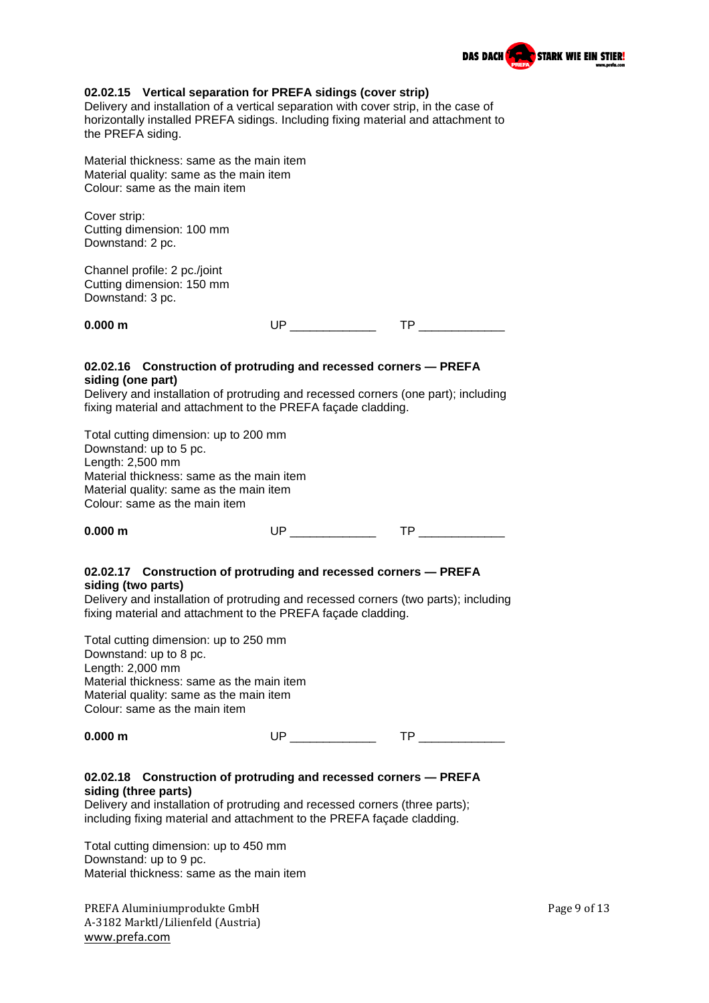

|  | 02.02.15 Vertical separation for PREFA sidings (cover strip) |  |  |
|--|--------------------------------------------------------------|--|--|
|--|--------------------------------------------------------------|--|--|

Delivery and installation of a vertical separation with cover strip, in the case of horizontally installed PREFA sidings. Including fixing material and attachment to the PREFA siding.

Material thickness: same as the main item Material quality: same as the main item Colour: same as the main item

Cover strip: Cutting dimension: 100 mm Downstand: 2 pc.

Channel profile: 2 pc./joint Cutting dimension: 150 mm Downstand: 3 pc.

| 0.000<br>---<br>.<br>. |  |  |  |
|------------------------|--|--|--|
|------------------------|--|--|--|

### **02.02.16 Construction of protruding and recessed corners — PREFA siding (one part)**

Delivery and installation of protruding and recessed corners (one part); including fixing material and attachment to the PREFA façade cladding.

Total cutting dimension: up to 200 mm Downstand: up to 5 pc. Length: 2,500 mm Material thickness: same as the main item Material quality: same as the main item Colour: same as the main item

| $0.000 \text{ m}$ |  |
|-------------------|--|
|-------------------|--|

## **02.02.17 Construction of protruding and recessed corners — PREFA siding (two parts)**

Delivery and installation of protruding and recessed corners (two parts); including fixing material and attachment to the PREFA façade cladding.

Total cutting dimension: up to 250 mm Downstand: up to 8 pc. Length: 2,000 mm Material thickness: same as the main item Material quality: same as the main item Colour: same as the main item

|  | 0.000 <sub>m</sub> |  |
|--|--------------------|--|
|--|--------------------|--|

| 0.000 m |  |  |
|---------|--|--|
|---------|--|--|

## **02.02.18 Construction of protruding and recessed corners — PREFA siding (three parts)**

Delivery and installation of protruding and recessed corners (three parts); including fixing material and attachment to the PREFA façade cladding.

Total cutting dimension: up to 450 mm Downstand: up to 9 pc. Material thickness: same as the main item

PREFA Aluminiumprodukte GmbH **Page 9** of 13 A-3182 Marktl/Lilienfeld (Austria) [www.prefa.com](http://www.prefa.com/)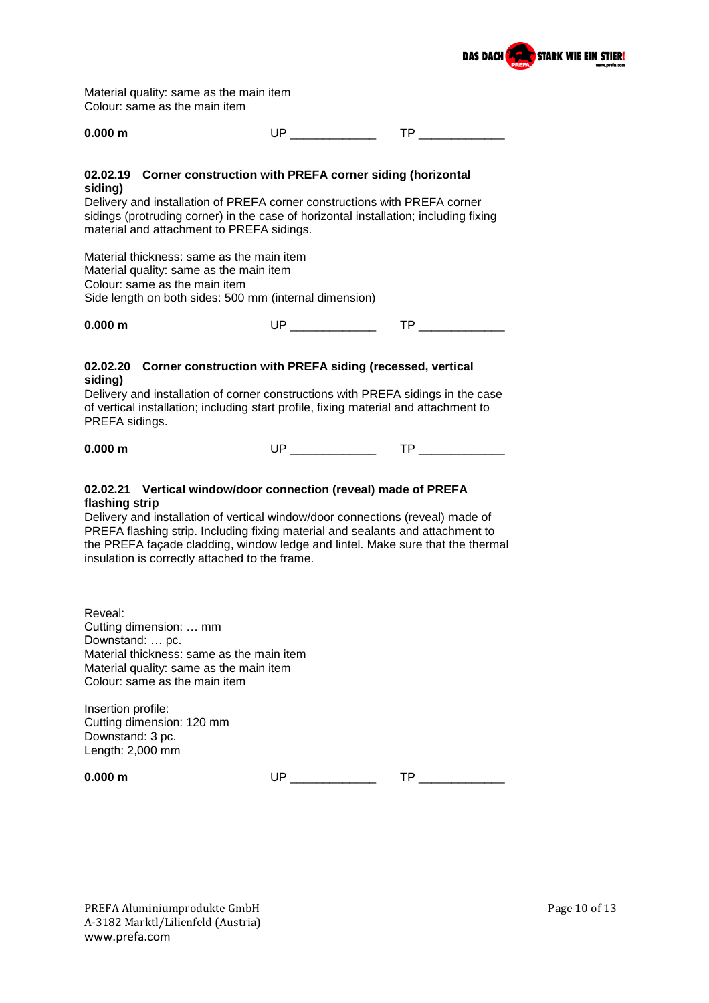

Material quality: same as the main item Colour: same as the main item

**0.000 m** UP TP

#### **02.02.19 Corner construction with PREFA corner siding (horizontal siding)**

Delivery and installation of PREFA corner constructions with PREFA corner sidings (protruding corner) in the case of horizontal installation; including fixing material and attachment to PREFA sidings.

Material thickness: same as the main item Material quality: same as the main item Colour: same as the main item Side length on both sides: 500 mm (internal dimension)

| $0.000 \text{ m}$<br>$ -$ |  |
|---------------------------|--|
|---------------------------|--|

### **02.02.20 Corner construction with PREFA siding (recessed, vertical siding)**

Delivery and installation of corner constructions with PREFA sidings in the case of vertical installation; including start profile, fixing material and attachment to PREFA sidings.

**0.000 m** UP \_\_\_\_\_\_\_\_\_\_\_\_\_ TP \_\_\_\_\_\_\_\_\_\_\_\_\_

## **02.02.21 Vertical window/door connection (reveal) made of PREFA flashing strip**

Delivery and installation of vertical window/door connections (reveal) made of PREFA flashing strip. Including fixing material and sealants and attachment to the PREFA façade cladding, window ledge and lintel. Make sure that the thermal insulation is correctly attached to the frame.

Reveal: Cutting dimension: … mm Downstand: … pc. Material thickness: same as the main item Material quality: same as the main item Colour: same as the main item

Insertion profile: Cutting dimension: 120 mm Downstand: 3 pc. Length: 2,000 mm

**0.000 m** UP \_\_\_\_\_\_\_\_\_\_ TP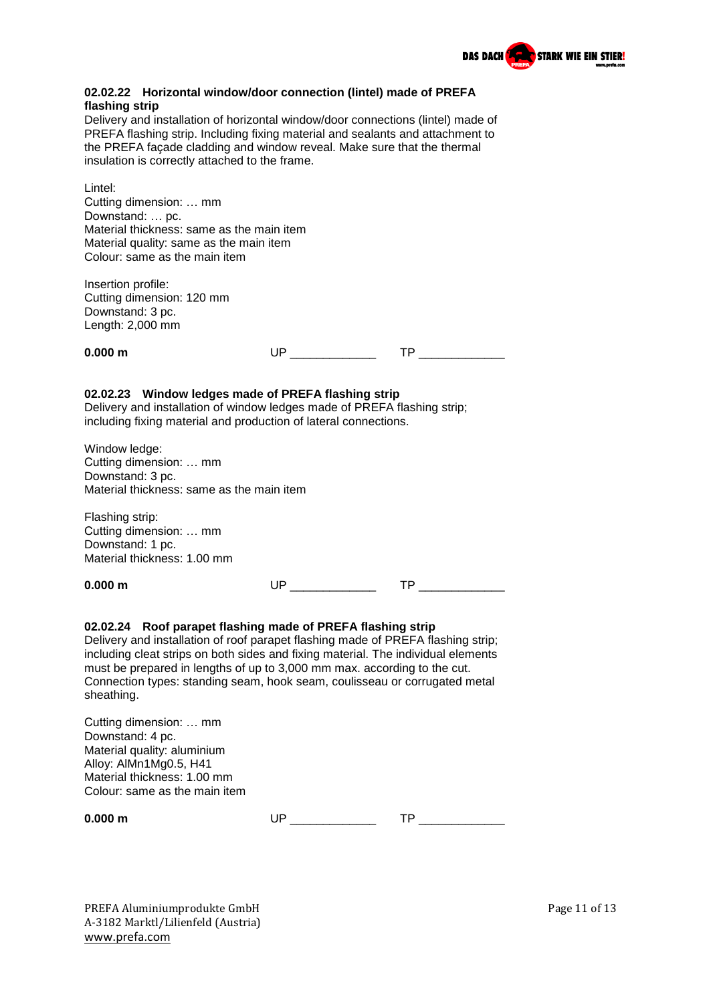

## **02.02.22 Horizontal window/door connection (lintel) made of PREFA flashing strip**

Delivery and installation of horizontal window/door connections (lintel) made of PREFA flashing strip. Including fixing material and sealants and attachment to the PREFA façade cladding and window reveal. Make sure that the thermal insulation is correctly attached to the frame.

| Lintel:<br>Cutting dimension:  mm<br>Downstand:  pc.<br>Material thickness: same as the main item<br>Material quality: same as the main item<br>Colour: same as the main item                       |    |                                                                                                                                                                                                                                                     |  |
|-----------------------------------------------------------------------------------------------------------------------------------------------------------------------------------------------------|----|-----------------------------------------------------------------------------------------------------------------------------------------------------------------------------------------------------------------------------------------------------|--|
| Insertion profile:<br>Cutting dimension: 120 mm<br>Downstand: 3 pc.<br>Length: 2,000 mm                                                                                                             |    |                                                                                                                                                                                                                                                     |  |
| 0.000 m                                                                                                                                                                                             |    | UP ________________  TP ___________                                                                                                                                                                                                                 |  |
| 02.02.23 Window ledges made of PREFA flashing strip<br>Delivery and installation of window ledges made of PREFA flashing strip;<br>including fixing material and production of lateral connections. |    |                                                                                                                                                                                                                                                     |  |
| Window ledge:<br>Cutting dimension:  mm<br>Downstand: 3 pc.<br>Material thickness: same as the main item                                                                                            |    |                                                                                                                                                                                                                                                     |  |
| Flashing strip:<br>Cutting dimension:  mm<br>Downstand: 1 pc.<br>Material thickness: 1.00 mm                                                                                                        |    |                                                                                                                                                                                                                                                     |  |
| 0.000 m                                                                                                                                                                                             |    |                                                                                                                                                                                                                                                     |  |
| 02.02.24 Roof parapet flashing made of PREFA flashing strip<br>must be prepared in lengths of up to 3,000 mm max. according to the cut.<br>sheathing.                                               |    | Delivery and installation of roof parapet flashing made of PREFA flashing strip;<br>including cleat strips on both sides and fixing material. The individual elements<br>Connection types: standing seam, hook seam, coulisseau or corrugated metal |  |
| Cutting dimension:  mm<br>Downstand: 4 pc.<br>Material quality: aluminium<br>Alloy: AlMn1Mg0.5, H41<br>Material thickness: 1.00 mm<br>Colour: same as the main item                                 |    |                                                                                                                                                                                                                                                     |  |
| 0.000 m                                                                                                                                                                                             | UP | TP and the state of the state of the state of the state of the state of the state of the state of the state of the state of the state of the state of the state of the state of the state of the state of the state of the sta                      |  |
|                                                                                                                                                                                                     |    |                                                                                                                                                                                                                                                     |  |

PREFA Aluminiumprodukte GmbH PREFA Aluminiumprodukte GmbH A-3182 Marktl/Lilienfeld (Austria) [www.prefa.com](http://www.prefa.com/)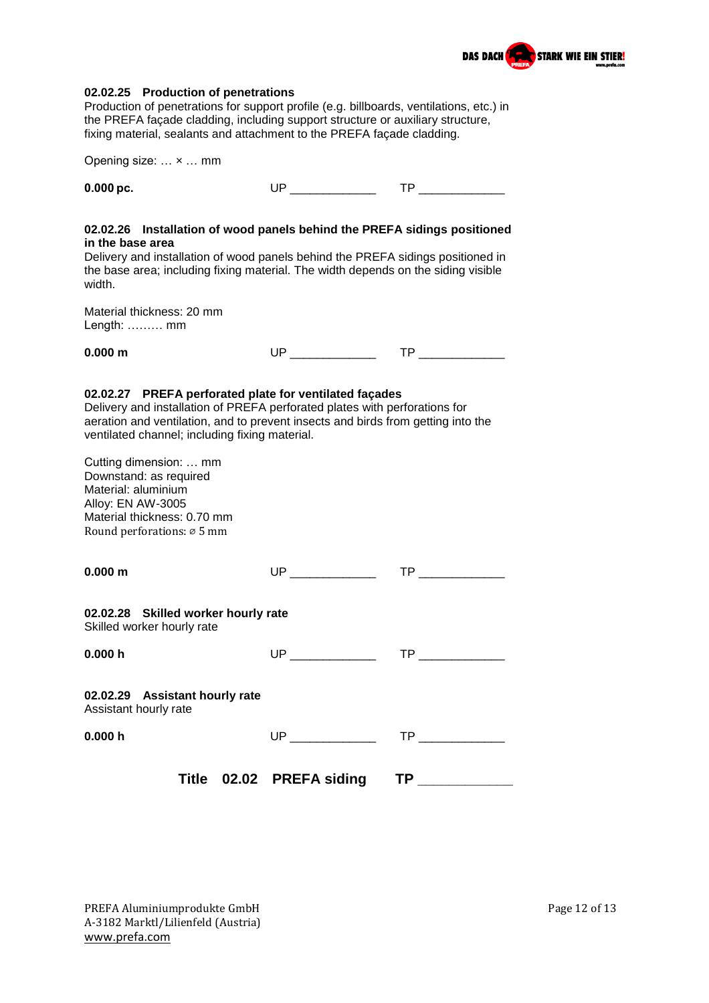

| 02.02.25 Production of penetrations<br>Production of penetrations for support profile (e.g. billboards, ventilations, etc.) in<br>the PREFA façade cladding, including support structure or auxiliary structure,<br>fixing material, sealants and attachment to the PREFA façade cladding.                                                                                                                                              |                                        |                             |
|-----------------------------------------------------------------------------------------------------------------------------------------------------------------------------------------------------------------------------------------------------------------------------------------------------------------------------------------------------------------------------------------------------------------------------------------|----------------------------------------|-----------------------------|
| Opening size:  x  mm                                                                                                                                                                                                                                                                                                                                                                                                                    |                                        |                             |
| $0.000$ pc.                                                                                                                                                                                                                                                                                                                                                                                                                             | UP ________________  TP ______________ |                             |
| 02.02.26 Installation of wood panels behind the PREFA sidings positioned<br>in the base area<br>Delivery and installation of wood panels behind the PREFA sidings positioned in<br>the base area; including fixing material. The width depends on the siding visible<br>width.                                                                                                                                                          |                                        |                             |
| Material thickness: 20 mm<br>Length:  mm                                                                                                                                                                                                                                                                                                                                                                                                |                                        |                             |
| 0.000 m                                                                                                                                                                                                                                                                                                                                                                                                                                 |                                        |                             |
| 02.02.27 PREFA perforated plate for ventilated façades<br>Delivery and installation of PREFA perforated plates with perforations for<br>aeration and ventilation, and to prevent insects and birds from getting into the<br>ventilated channel; including fixing material.<br>Cutting dimension:  mm<br>Downstand: as required<br>Material: aluminium<br>Alloy: EN AW-3005<br>Material thickness: 0.70 mm<br>Round perforations: Ø 5 mm |                                        |                             |
| 0.000 <sub>m</sub>                                                                                                                                                                                                                                                                                                                                                                                                                      |                                        | $TP \_$                     |
| 02.02.28 Skilled worker hourly rate<br>Skilled worker hourly rate                                                                                                                                                                                                                                                                                                                                                                       |                                        |                             |
| 0.000h                                                                                                                                                                                                                                                                                                                                                                                                                                  | UP ________________  TP _____________  |                             |
| 02.02.29 Assistant hourly rate<br>Assistant hourly rate                                                                                                                                                                                                                                                                                                                                                                                 |                                        |                             |
| 0.000h                                                                                                                                                                                                                                                                                                                                                                                                                                  | UP ________________  TP ______________ |                             |
|                                                                                                                                                                                                                                                                                                                                                                                                                                         | Title 02.02 PREFA siding               | $\mathsf{TP} \_\_\_\_\_\_\$ |